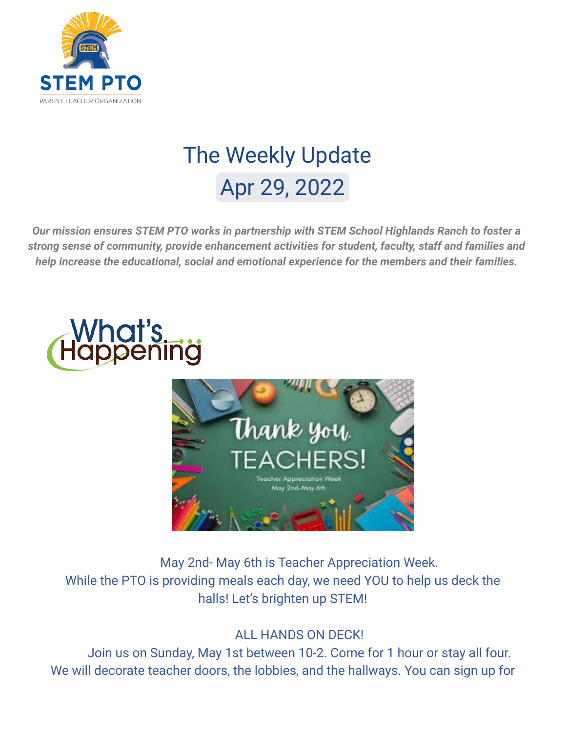

# The Weekly Update Apr 29, 2022

*Our mission ensures STEM PTO works in partnership with STEM School Highlands Ranch to foster a strong sense of community, provide enhancement activities for student, faculty, staff and families and help increase the educational, social and emotional experience for the members and their families.*





May 2nd- May 6th is Teacher Appreciation Week. While the PTO is providing meals each day, we need YOU to help us deck the halls! Let's brighten up STEM!

### ALL HANDS ON DECK!

Join us on Sunday, May 1st between 10-2. Come for 1 hour or stay all four. We will decorate teacher doors, the lobbies, and the hallways. You can sign up for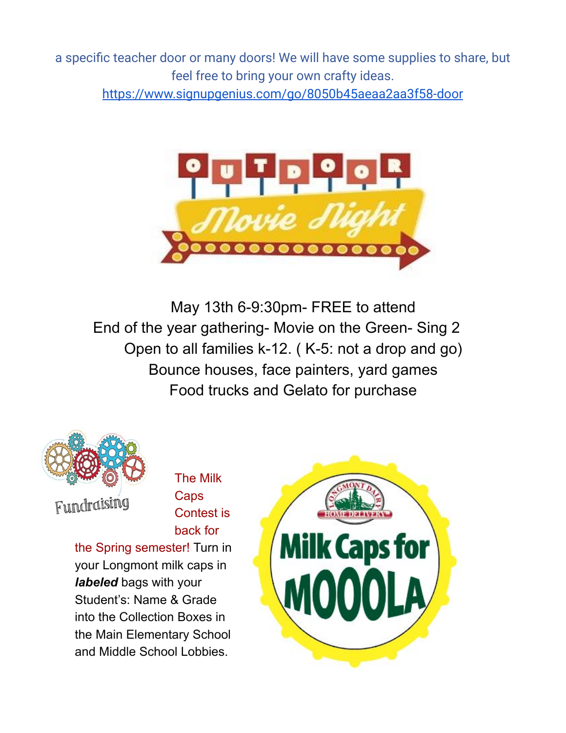a specific teacher door or many doors! We will have some supplies to share, but feel free to bring your own crafty ideas.

<https://www.signupgenius.com/go/8050b45aeaa2aa3f58-door>



May 13th 6-9:30pm- FREE to attend End of the year gathering- Movie on the Green- Sing 2 Open to all families k-12. ( K-5: not a drop and go) Bounce houses, face painters, yard games Food trucks and Gelato for purchase



Fundraising

The Milk **Caps** Contest is back for

the Spring semester! Turn in your Longmont milk caps in *labeled* bags with your Student's: Name & Grade into the Collection Boxes in the Main Elementary School and Middle School Lobbies.

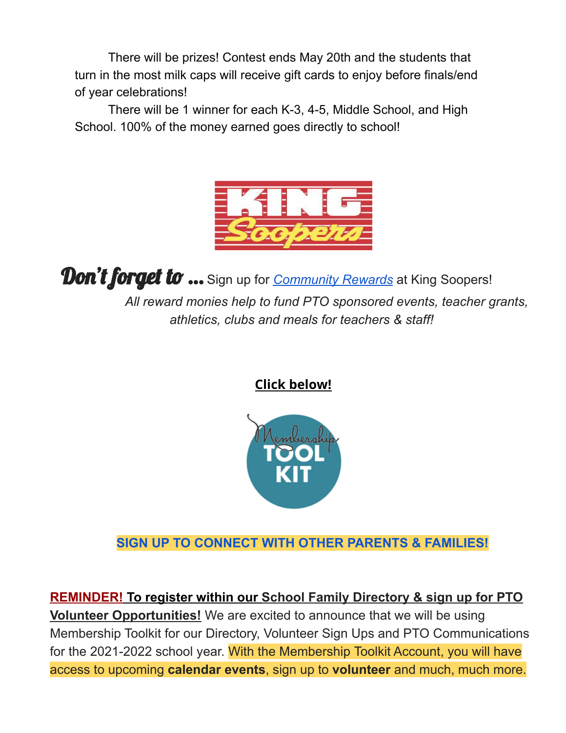There will be prizes! Contest ends May 20th and the students that turn in the most milk caps will receive gift cards to enjoy before finals/end of year celebrations!

There will be 1 winner for each K-3, 4-5, Middle School, and High School. 100% of the money earned goes directly to school!



**Don't forget to ...** Sign up for *[Community Rewards](https://www.kingsoopers.com/i/community/community-rewards)* at King Soopers! *All reward monies help to fund PTO sponsored events, teacher grants, athletics, clubs and meals for teachers & staff!*

**Click below!**



**SIGN UP TO CONNECT WITH OTHER PARENTS & FAMILIES!**

**REMINDER! To register within our School Family Directory & sign up for PTO Volunteer Opportunities!** We are excited to announce that we will be using Membership Toolkit for our Directory, Volunteer Sign Ups and PTO Communications for the 2021-2022 school year. With the Membership Toolkit Account, you will have access to upcoming **calendar events**, sign up to **volunteer** and much, much more.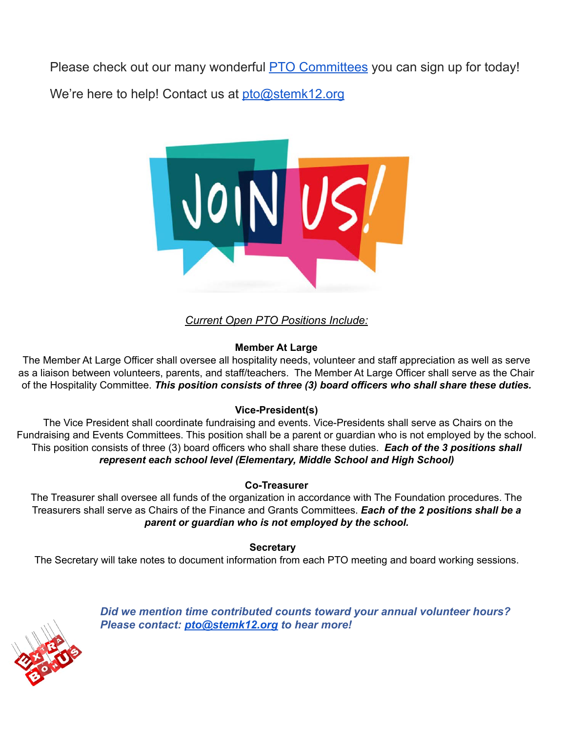Please check out our many wonderful **[PTO Committees](https://stemk12.org/about-us/pto/#1594681714364-f1c84c60-e687)** you can sign up for today!

We're here to help! Contact us at [pto@stemk12.org](mailto:pto@stemk12.org)



*Current Open PTO Positions Include:*

#### **Member At Large**

The Member At Large Officer shall oversee all hospitality needs, volunteer and staff appreciation as well as serve as a liaison between volunteers, parents, and staff/teachers. The Member At Large Officer shall serve as the Chair of the Hospitality Committee. *This position consists of three (3) board officers who shall share these duties.*

#### **Vice-President(s)**

The Vice President shall coordinate fundraising and events. Vice-Presidents shall serve as Chairs on the Fundraising and Events Committees. This position shall be a parent or guardian who is not employed by the school. This position consists of three (3) board officers who shall share these duties. *Each of the 3 positions shall represent each school level (Elementary, Middle School and High School)*

#### **Co-Treasurer**

The Treasurer shall oversee all funds of the organization in accordance with The Foundation procedures. The Treasurers shall serve as Chairs of the Finance and Grants Committees. *Each of the 2 positions shall be a parent or guardian who is not employed by the school.*

**Secretary**

The Secretary will take notes to document information from each PTO meeting and board working sessions.



*Did we mention time contributed counts toward your annual volunteer hours? Please contact: [pto@stemk12.org](mailto:pto@stemk12.org) to hear more!*